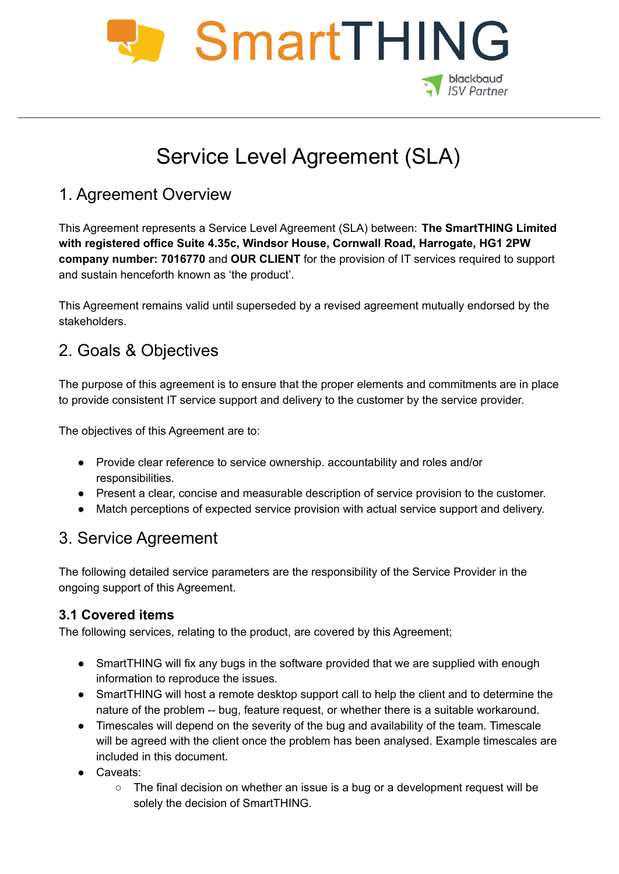

# Service Level Agreement (SLA)

# 1. Agreement Overview

This Agreement represents a Service Level Agreement (SLA) between: **The SmartTHING Limited with registered office Suite 4.35c, Windsor House, Cornwall Road, Harrogate, HG1 2PW company number: 7016770** and **OUR CLIENT** for the provision of IT services required to support and sustain henceforth known as 'the product'.

This Agreement remains valid until superseded by a revised agreement mutually endorsed by the stakeholders.

# 2. Goals & Objectives

The purpose of this agreement is to ensure that the proper elements and commitments are in place to provide consistent IT service support and delivery to the customer by the service provider.

The objectives of this Agreement are to:

- Provide clear reference to service ownership. accountability and roles and/or responsibilities.
- Present a clear, concise and measurable description of service provision to the customer.
- Match perceptions of expected service provision with actual service support and delivery.

## 3. Service Agreement

The following detailed service parameters are the responsibility of the Service Provider in the ongoing support of this Agreement.

### **3.1 Covered items**

The following services, relating to the product, are covered by this Agreement;

- SmartTHING will fix any bugs in the software provided that we are supplied with enough information to reproduce the issues.
- SmartTHING will host a remote desktop support call to help the client and to determine the nature of the problem -- bug, feature request, or whether there is a suitable workaround.
- Timescales will depend on the severity of the bug and availability of the team. Timescale will be agreed with the client once the problem has been analysed. Example timescales are included in this document.
- Caveats:
	- $\circ$  The final decision on whether an issue is a bug or a development request will be solely the decision of SmartTHING.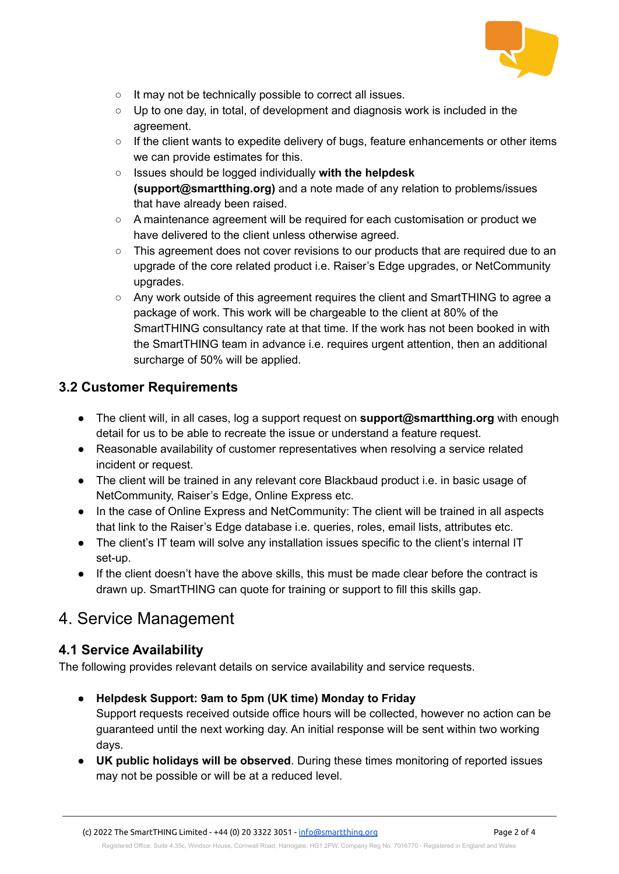

- It may not be technically possible to correct all issues.
- $\circ$  Up to one day, in total, of development and diagnosis work is included in the agreement.
- If the client wants to expedite delivery of bugs, feature enhancements or other items we can provide estimates for this.
- Issues should be logged individually **with the helpdesk (support@smartthing.org)** and a note made of any relation to problems/issues that have already been raised.
- A maintenance agreement will be required for each customisation or product we have delivered to the client unless otherwise agreed.
- This agreement does not cover revisions to our products that are required due to an upgrade of the core related product i.e. Raiser's Edge upgrades, or NetCommunity upgrades.
- Any work outside of this agreement requires the client and SmartTHING to agree a package of work. This work will be chargeable to the client at 80% of the SmartTHING consultancy rate at that time. If the work has not been booked in with the SmartTHING team in advance i.e. requires urgent attention, then an additional surcharge of 50% will be applied.

## **3.2 Customer Requirements**

- The client will, in all cases, log a support request on **support@smartthing.org** with enough detail for us to be able to recreate the issue or understand a feature request.
- Reasonable availability of customer representatives when resolving a service related incident or request.
- The client will be trained in any relevant core Blackbaud product i.e. in basic usage of NetCommunity, Raiser's Edge, Online Express etc.
- In the case of Online Express and NetCommunity: The client will be trained in all aspects that link to the Raiser's Edge database i.e. queries, roles, email lists, attributes etc.
- The client's IT team will solve any installation issues specific to the client's internal IT set-up.
- If the client doesn't have the above skills, this must be made clear before the contract is drawn up. SmartTHING can quote for training or support to fill this skills gap.

## 4. Service Management

### **4.1 Service Availability**

The following provides relevant details on service availability and service requests.

- **● Helpdesk Support: 9am to 5pm (UK time) Monday to Friday** Support requests received outside office hours will be collected, however no action can be guaranteed until the next working day. An initial response will be sent within two working
- days. **● UK public holidays will be observed**. During these times monitoring of reported issues may not be possible or will be at a reduced level.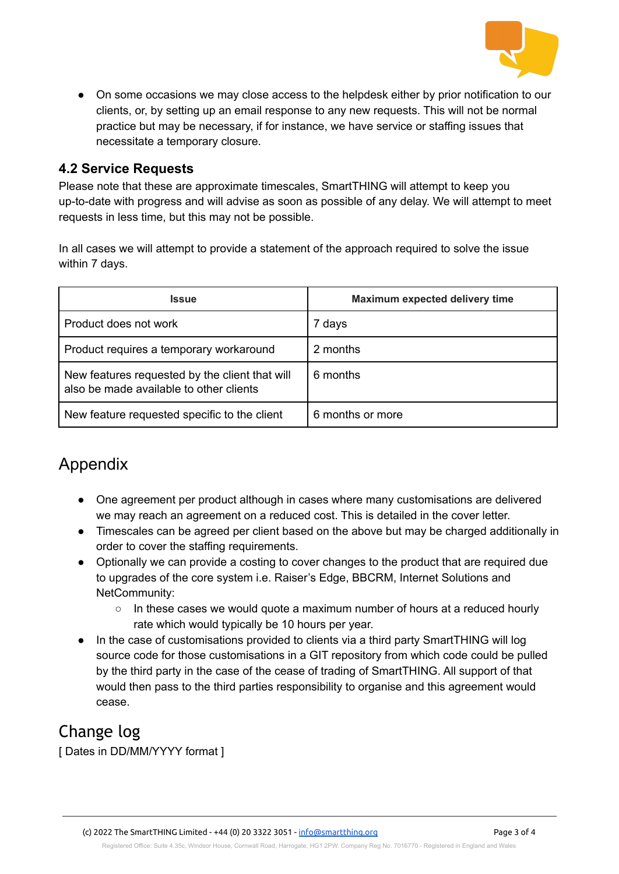

● On some occasions we may close access to the helpdesk either by prior notification to our clients, or, by setting up an email response to any new requests. This will not be normal practice but may be necessary, if for instance, we have service or staffing issues that necessitate a temporary closure.

#### **4.2 Service Requests**

Please note that these are approximate timescales, SmartTHING will attempt to keep you up-to-date with progress and will advise as soon as possible of any delay. We will attempt to meet requests in less time, but this may not be possible.

In all cases we will attempt to provide a statement of the approach required to solve the issue within 7 days.

| <b>Issue</b>                                                                              | Maximum expected delivery time |
|-------------------------------------------------------------------------------------------|--------------------------------|
| Product does not work                                                                     | 7 days                         |
| Product requires a temporary workaround                                                   | 2 months                       |
| New features requested by the client that will<br>also be made available to other clients | 6 months                       |
| New feature requested specific to the client                                              | 6 months or more               |

# Appendix

- One agreement per product although in cases where many customisations are delivered we may reach an agreement on a reduced cost. This is detailed in the cover letter.
- Timescales can be agreed per client based on the above but may be charged additionally in order to cover the staffing requirements.
- Optionally we can provide a costing to cover changes to the product that are required due to upgrades of the core system i.e. Raiser's Edge, BBCRM, Internet Solutions and NetCommunity:
	- In these cases we would quote a maximum number of hours at a reduced hourly rate which would typically be 10 hours per year.
- In the case of customisations provided to clients via a third party SmartTHING will log source code for those customisations in a GIT repository from which code could be pulled by the third party in the case of the cease of trading of SmartTHING. All support of that would then pass to the third parties responsibility to organise and this agreement would cease.

# Change log

[ Dates in DD/MM/YYYY format ]